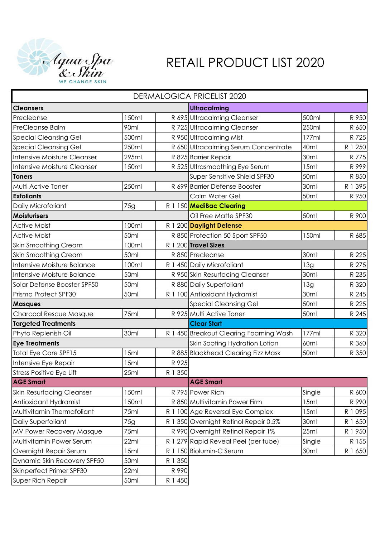

## RETAIL PRODUCT LIST 2020

| <b>DERMALOGICA PRICELIST 2020</b>  |       |         |                                        |             |           |  |  |  |
|------------------------------------|-------|---------|----------------------------------------|-------------|-----------|--|--|--|
| <b>Cleansers</b>                   |       |         | <b>Ultracalming</b>                    |             |           |  |  |  |
| Precleanse                         | 150ml |         | R 695 Ultracalming Cleanser            | 500ml       | R 950     |  |  |  |
| PreCleanse Balm                    | 90ml  |         | R 725 Ultracalming Cleanser            | 250ml       | R 650     |  |  |  |
| <b>Special Cleansing Gel</b>       | 500ml |         | R 950 Ultracalming Mist                | 177ml       | R 725     |  |  |  |
| <b>Special Cleansing Gel</b>       | 250ml |         | R 650 Ultracalming Serum Concentrate   | 40ml        | R 1 250   |  |  |  |
| Intensive Moisture Cleanser        | 295ml |         | R 825 Barrier Repair                   | 30ml        | R 775     |  |  |  |
| <b>Intensive Moisture Cleanser</b> | 150ml |         | R 525 Ultrasmoothing Eye Serum         | 15ml        | R 999     |  |  |  |
| <b>Toners</b>                      |       |         | Super Sensitive Shield SPF30           | 50ml        | R 850     |  |  |  |
| Multi Active Toner                 | 250ml |         | R 699 Barrier Defense Booster          | 30ml        | R 1 395   |  |  |  |
| <b>Exfoliants</b>                  |       |         | Calm Water Gel                         | 50ml        | R 950     |  |  |  |
| Daily Microfoliant                 | 75g   |         | R 1 150 MediBac Clearing               |             |           |  |  |  |
| <b>Moisturisers</b>                |       |         | Oil Free Matte SPF30                   | 50ml        | R 900     |  |  |  |
| <b>Active Moist</b>                | 100ml |         | R 1 200 Daylight Defense               |             |           |  |  |  |
| <b>Active Moist</b>                | 50ml  |         | R 850 Protection 50 Sport SPF50        | 150ml       | R 685     |  |  |  |
| <b>Skin Smoothing Cream</b>        | 100ml |         | R 1 200 Travel Sizes                   |             |           |  |  |  |
| <b>Skin Smoothing Cream</b>        | 50ml  |         | R 850 Precleanse                       | 30ml        | R 225     |  |  |  |
| Intensive Moisture Balance         | 100ml |         | R 1 450 Daily Microfoliant             | 13g         | R 275     |  |  |  |
| Intensive Moisture Balance         | 50ml  |         | R 950 Skin Resurfacing Cleanser        | 30ml        | R 235     |  |  |  |
| Solar Defense Booster SPF50        | 50ml  |         | R 880 Daily Superfoliant               | 13g         | R 320     |  |  |  |
| Prisma Protect SPF30               | 50ml  |         | R 1 100 Antioxidant Hydramist          | 30ml        | R 245     |  |  |  |
| <b>Masques</b>                     |       |         | <b>Special Cleansing Gel</b>           | 50ml        | R 225     |  |  |  |
| Charcoal Rescue Masque             | 75ml  |         | R 925 Multi Active Toner               | 50ml        | R 245     |  |  |  |
| <b>Targeted Treatments</b>         |       |         | <b>Clear Start</b>                     |             |           |  |  |  |
| Phyto Replenish Oil                | 30ml  |         | R 1 450 Breakout Clearing Foaming Wash | 177ml       | R 320     |  |  |  |
| <b>Eye Treatments</b>              |       |         | Skin Sooting Hydration Lotion          | <b>60ml</b> | R 360     |  |  |  |
| <b>Total Eye Care SPF15</b>        | 15ml  |         | R 885 Blackhead Clearing Fizz Mask     | 50ml        | R 350     |  |  |  |
| Intensive Eye Repair               | 15ml  | R 925   |                                        |             |           |  |  |  |
| Stress Positive Eye Lift           | 25ml  | R 1 350 |                                        |             |           |  |  |  |
| <b>AGE Smart</b>                   |       |         | <b>AGE Smart</b>                       |             |           |  |  |  |
| <b>Skin Resurfacing Cleanser</b>   | 150ml |         | R 795 Power Rich                       | Single      | R 600     |  |  |  |
| Antioxidant Hydramist              | 150ml |         | R 850 Multivitamin Power Firm          | 15ml        | R 990     |  |  |  |
| Multivitamin Thermafoliant         | 75ml  |         | R 1 100 Age Reversal Eye Complex       | 15ml        | R 1 0 9 5 |  |  |  |
| Daily Superfoliant                 | 75g   |         | R 1 350 Overnight Retinol Repair 0.5%  | 30ml        | R 1 650   |  |  |  |
| <b>MV Power Recovery Masque</b>    | 75ml  |         | R 990 Overnight Retinol Repair 1%      | 25ml        | R 1 950   |  |  |  |
| Multivitamin Power Serum           | 22ml  |         | R 1 279 Rapid Reveal Peel (per tube)   | Single      | R 155     |  |  |  |
| Overnight Repair Serum             | 15ml  |         | R 1 150 Biolumin-C Serum               | 30ml        | R 1 650   |  |  |  |
| Dynamic Skin Recovery SPF50        | 50ml  | R 1 350 |                                        |             |           |  |  |  |
| Skinperfect Primer SPF30           | 22ml  | R 990   |                                        |             |           |  |  |  |
| Super Rich Repair                  | 50ml  | R 1 450 |                                        |             |           |  |  |  |